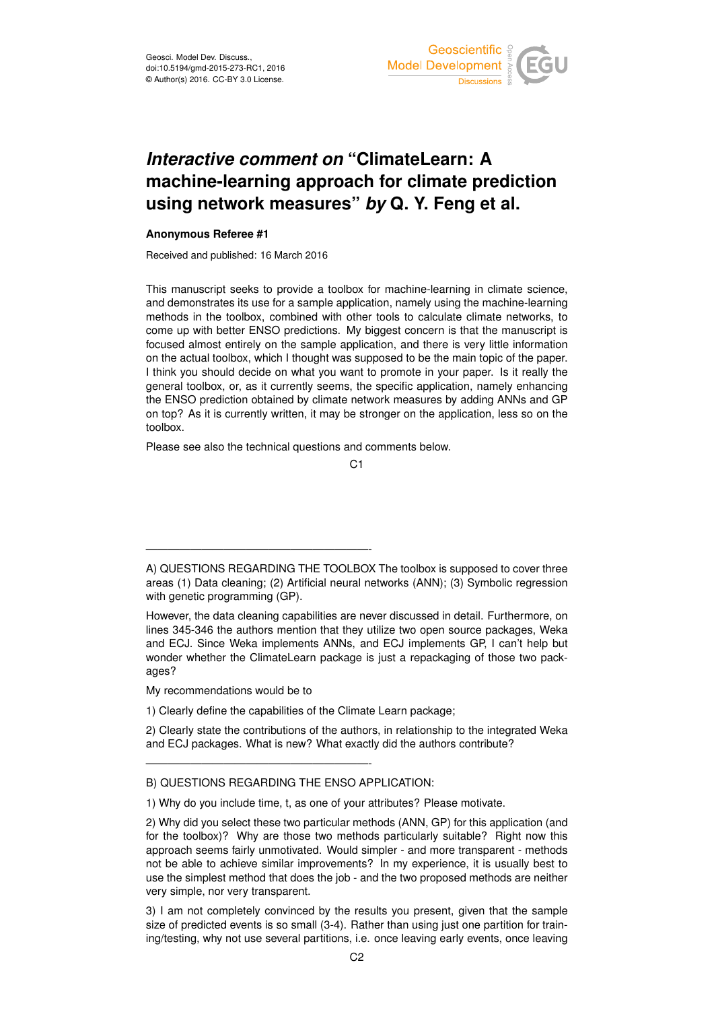

## *Interactive comment on* **"ClimateLearn: A machine-learning approach for climate prediction using network measures"** *by* **Q. Y. Feng et al.**

## **Anonymous Referee #1**

Received and published: 16 March 2016

This manuscript seeks to provide a toolbox for machine-learning in climate science, and demonstrates its use for a sample application, namely using the machine-learning methods in the toolbox, combined with other tools to calculate climate networks, to come up with better ENSO predictions. My biggest concern is that the manuscript is focused almost entirely on the sample application, and there is very little information on the actual toolbox, which I thought was supposed to be the main topic of the paper. I think you should decide on what you want to promote in your paper. Is it really the general toolbox, or, as it currently seems, the specific application, namely enhancing the ENSO prediction obtained by climate network measures by adding ANNs and GP on top? As it is currently written, it may be stronger on the application, less so on the toolbox.

Please see also the technical questions and comments below.

 $C<sub>1</sub>$ 

My recommendations would be to

————————————————————-

1) Clearly define the capabilities of the Climate Learn package;

2) Clearly state the contributions of the authors, in relationship to the integrated Weka and ECJ packages. What is new? What exactly did the authors contribute?

## B) QUESTIONS REGARDING THE ENSO APPLICATION:

————————————————————-

1) Why do you include time, t, as one of your attributes? Please motivate.

3) I am not completely convinced by the results you present, given that the sample size of predicted events is so small (3-4). Rather than using just one partition for training/testing, why not use several partitions, i.e. once leaving early events, once leaving

A) QUESTIONS REGARDING THE TOOLBOX The toolbox is supposed to cover three areas (1) Data cleaning; (2) Artificial neural networks (ANN); (3) Symbolic regression with genetic programming (GP).

However, the data cleaning capabilities are never discussed in detail. Furthermore, on lines 345-346 the authors mention that they utilize two open source packages, Weka and ECJ. Since Weka implements ANNs, and ECJ implements GP, I can't help but wonder whether the ClimateLearn package is just a repackaging of those two packages?

<sup>2)</sup> Why did you select these two particular methods (ANN, GP) for this application (and for the toolbox)? Why are those two methods particularly suitable? Right now this approach seems fairly unmotivated. Would simpler - and more transparent - methods not be able to achieve similar improvements? In my experience, it is usually best to use the simplest method that does the job - and the two proposed methods are neither very simple, nor very transparent.